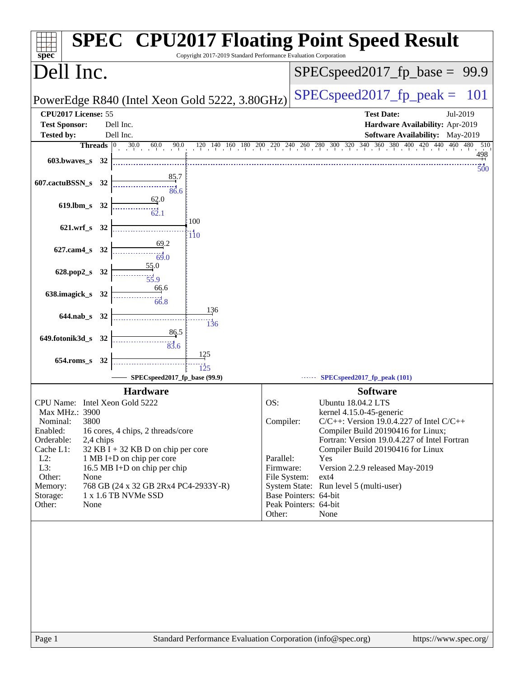| <b>SPEC<sup>®</sup> CPU2017 Floating Point Speed Result</b><br>Copyright 2017-2019 Standard Performance Evaluation Corporation<br>spec <sup>®</sup>                                                                                                                                                                                                                                                                                               |                                                                                                                                                                                                                                                                                                                                                                                                                                                                   |  |
|---------------------------------------------------------------------------------------------------------------------------------------------------------------------------------------------------------------------------------------------------------------------------------------------------------------------------------------------------------------------------------------------------------------------------------------------------|-------------------------------------------------------------------------------------------------------------------------------------------------------------------------------------------------------------------------------------------------------------------------------------------------------------------------------------------------------------------------------------------------------------------------------------------------------------------|--|
| Dell Inc.                                                                                                                                                                                                                                                                                                                                                                                                                                         | $SPEC speed2017_fp\_base = 99.9$                                                                                                                                                                                                                                                                                                                                                                                                                                  |  |
| PowerEdge R840 (Intel Xeon Gold 5222, 3.80GHz)                                                                                                                                                                                                                                                                                                                                                                                                    | $SPEC speed2017_fp_peak =$<br>101                                                                                                                                                                                                                                                                                                                                                                                                                                 |  |
| CPU2017 License: 55<br><b>Test Sponsor:</b><br>Dell Inc.<br><b>Tested by:</b><br>Dell Inc.<br>Threads $ 0 $<br>$\overline{30.0}$ $\overline{60.0}$<br>90.0<br>603.bwaves_s 32                                                                                                                                                                                                                                                                     | <b>Test Date:</b><br>Jul-2019<br>Hardware Availability: Apr-2019<br>Software Availability: May-2019<br>$120$ $140$ $160$ $180$ $200$ $220$ $240$ $260$ $280$ $300$ $320$ $340$ $360$ $380$ $400$ $420$ $440$ $460$ $480$<br>510<br>498                                                                                                                                                                                                                            |  |
| <u>85</u> .7<br>607.cactuBSSN_s 32<br>86.6<br>62.0<br>619.lbm s 32<br>$\dddot{62.1}$                                                                                                                                                                                                                                                                                                                                                              | $300^{\circ}$                                                                                                                                                                                                                                                                                                                                                                                                                                                     |  |
| 100<br>$621.wrf$ s<br>32<br>$\frac{110}{110}$<br>69.2<br>627.cam4_s 32<br>69.0<br>55.0<br>628.pop2_s<br>32                                                                                                                                                                                                                                                                                                                                        |                                                                                                                                                                                                                                                                                                                                                                                                                                                                   |  |
| 55.9<br>66.6<br>638.imagick_s 32<br>66.8<br>136<br>644.nab s 32                                                                                                                                                                                                                                                                                                                                                                                   |                                                                                                                                                                                                                                                                                                                                                                                                                                                                   |  |
| 136<br>86.5<br>649.fotonik3d_s<br>- 32<br>83.6<br>125<br>$654$ .roms_s<br>32<br>125                                                                                                                                                                                                                                                                                                                                                               |                                                                                                                                                                                                                                                                                                                                                                                                                                                                   |  |
| SPECspeed2017_fp_base (99.9)                                                                                                                                                                                                                                                                                                                                                                                                                      | SPECspeed2017_fp_peak (101)                                                                                                                                                                                                                                                                                                                                                                                                                                       |  |
| <b>Hardware</b><br>CPU Name: Intel Xeon Gold 5222<br>OS:<br>Max MHz.: 3900<br>Nominal:<br>3800<br>Enabled:<br>16 cores, 4 chips, 2 threads/core<br>Orderable:<br>2,4 chips<br>Cache L1:<br>$32$ KB I + 32 KB D on chip per core<br>$L2$ :<br>1 MB I+D on chip per core<br>L3:<br>16.5 MB I+D on chip per chip<br>Other:<br>None<br>768 GB (24 x 32 GB 2Rx4 PC4-2933Y-R)<br>Memory:<br>1 x 1.6 TB NVMe SSD<br>Storage:<br>Other:<br>None<br>Other: | <b>Software</b><br><b>Ubuntu 18.04.2 LTS</b><br>kernel 4.15.0-45-generic<br>Compiler:<br>$C/C++$ : Version 19.0.4.227 of Intel $C/C++$<br>Compiler Build 20190416 for Linux;<br>Fortran: Version 19.0.4.227 of Intel Fortran<br>Compiler Build 20190416 for Linux<br>Parallel:<br>Yes<br>Firmware:<br>Version 2.2.9 released May-2019<br>File System:<br>ext4<br>System State: Run level 5 (multi-user)<br>Base Pointers: 64-bit<br>Peak Pointers: 64-bit<br>None |  |
| Standard Performance Evaluation Corporation (info@spec.org)<br>Page 1                                                                                                                                                                                                                                                                                                                                                                             | https://www.spec.org/                                                                                                                                                                                                                                                                                                                                                                                                                                             |  |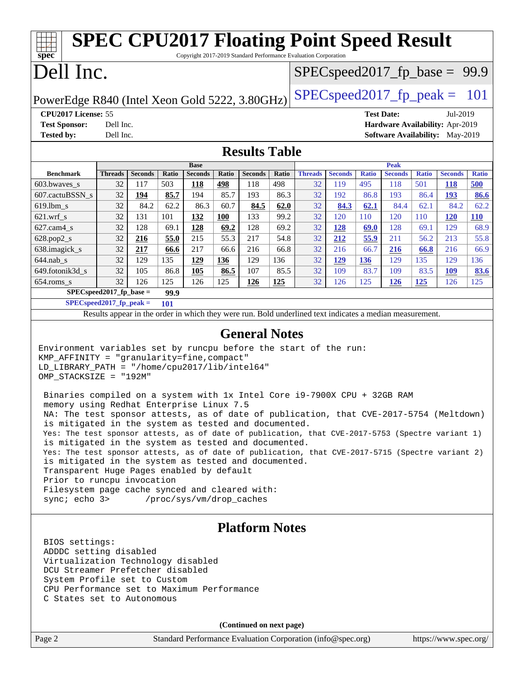#### Page 2 Standard Performance Evaluation Corporation [\(info@spec.org\)](mailto:info@spec.org) <https://www.spec.org/> **[spec](http://www.spec.org/) [SPEC CPU2017 Floating Point Speed Result](http://www.spec.org/auto/cpu2017/Docs/result-fields.html#SPECCPU2017FloatingPointSpeedResult)** Copyright 2017-2019 Standard Performance Evaluation Corporation Dell Inc. PowerEdge R840 (Intel Xeon Gold 5222, 3.80GHz)  $\left|$  [SPECspeed2017\\_fp\\_peak =](http://www.spec.org/auto/cpu2017/Docs/result-fields.html#SPECspeed2017fppeak) 101  $SPECspeed2017_fp\_base = 99.9$ **[CPU2017 License:](http://www.spec.org/auto/cpu2017/Docs/result-fields.html#CPU2017License)** 55 **[Test Date:](http://www.spec.org/auto/cpu2017/Docs/result-fields.html#TestDate)** Jul-2019 **[Test Sponsor:](http://www.spec.org/auto/cpu2017/Docs/result-fields.html#TestSponsor)** Dell Inc. **[Hardware Availability:](http://www.spec.org/auto/cpu2017/Docs/result-fields.html#HardwareAvailability)** Apr-2019 **[Tested by:](http://www.spec.org/auto/cpu2017/Docs/result-fields.html#Testedby)** Dell Inc. **[Software Availability:](http://www.spec.org/auto/cpu2017/Docs/result-fields.html#SoftwareAvailability)** May-2019 **[Results Table](http://www.spec.org/auto/cpu2017/Docs/result-fields.html#ResultsTable) [Benchmark](http://www.spec.org/auto/cpu2017/Docs/result-fields.html#Benchmark) [Threads](http://www.spec.org/auto/cpu2017/Docs/result-fields.html#Threads) [Seconds](http://www.spec.org/auto/cpu2017/Docs/result-fields.html#Seconds) [Ratio](http://www.spec.org/auto/cpu2017/Docs/result-fields.html#Ratio) [Seconds](http://www.spec.org/auto/cpu2017/Docs/result-fields.html#Seconds) [Ratio](http://www.spec.org/auto/cpu2017/Docs/result-fields.html#Ratio) [Seconds](http://www.spec.org/auto/cpu2017/Docs/result-fields.html#Seconds) [Ratio](http://www.spec.org/auto/cpu2017/Docs/result-fields.html#Ratio) Base [Threads](http://www.spec.org/auto/cpu2017/Docs/result-fields.html#Threads) [Seconds](http://www.spec.org/auto/cpu2017/Docs/result-fields.html#Seconds) [Ratio](http://www.spec.org/auto/cpu2017/Docs/result-fields.html#Ratio) [Seconds](http://www.spec.org/auto/cpu2017/Docs/result-fields.html#Seconds) [Ratio](http://www.spec.org/auto/cpu2017/Docs/result-fields.html#Ratio) [Seconds](http://www.spec.org/auto/cpu2017/Docs/result-fields.html#Seconds) [Ratio](http://www.spec.org/auto/cpu2017/Docs/result-fields.html#Ratio) Peak** [603.bwaves\\_s](http://www.spec.org/auto/cpu2017/Docs/benchmarks/603.bwaves_s.html) 32 117 503 **[118](http://www.spec.org/auto/cpu2017/Docs/result-fields.html#Median) [498](http://www.spec.org/auto/cpu2017/Docs/result-fields.html#Median)** 118 498 32 119 495 118 501 **[118](http://www.spec.org/auto/cpu2017/Docs/result-fields.html#Median) [500](http://www.spec.org/auto/cpu2017/Docs/result-fields.html#Median)** [607.cactuBSSN\\_s](http://www.spec.org/auto/cpu2017/Docs/benchmarks/607.cactuBSSN_s.html) 32 **[194](http://www.spec.org/auto/cpu2017/Docs/result-fields.html#Median) [85.7](http://www.spec.org/auto/cpu2017/Docs/result-fields.html#Median)** 194 85.7 193 86.3 32 192 86.8 193 86.4 **[193](http://www.spec.org/auto/cpu2017/Docs/result-fields.html#Median) [86.6](http://www.spec.org/auto/cpu2017/Docs/result-fields.html#Median)** [619.lbm\\_s](http://www.spec.org/auto/cpu2017/Docs/benchmarks/619.lbm_s.html) 32 84.2 62.2 86.3 60.7 **[84.5](http://www.spec.org/auto/cpu2017/Docs/result-fields.html#Median) [62.0](http://www.spec.org/auto/cpu2017/Docs/result-fields.html#Median)** 32 **[84.3](http://www.spec.org/auto/cpu2017/Docs/result-fields.html#Median) [62.1](http://www.spec.org/auto/cpu2017/Docs/result-fields.html#Median)** 84.4 62.1 84.2 62.2 [621.wrf\\_s](http://www.spec.org/auto/cpu2017/Docs/benchmarks/621.wrf_s.html) 32 131 101 **[132](http://www.spec.org/auto/cpu2017/Docs/result-fields.html#Median) [100](http://www.spec.org/auto/cpu2017/Docs/result-fields.html#Median)** 133 99.2 32 120 110 120 110 **[120](http://www.spec.org/auto/cpu2017/Docs/result-fields.html#Median) [110](http://www.spec.org/auto/cpu2017/Docs/result-fields.html#Median)** [627.cam4\\_s](http://www.spec.org/auto/cpu2017/Docs/benchmarks/627.cam4_s.html) 32 128 69.1 **[128](http://www.spec.org/auto/cpu2017/Docs/result-fields.html#Median) [69.2](http://www.spec.org/auto/cpu2017/Docs/result-fields.html#Median)** 128 69.2 32 **[128](http://www.spec.org/auto/cpu2017/Docs/result-fields.html#Median) [69.0](http://www.spec.org/auto/cpu2017/Docs/result-fields.html#Median)** 128 69.1 129 68.9 [628.pop2\\_s](http://www.spec.org/auto/cpu2017/Docs/benchmarks/628.pop2_s.html) 32 **[216](http://www.spec.org/auto/cpu2017/Docs/result-fields.html#Median) [55.0](http://www.spec.org/auto/cpu2017/Docs/result-fields.html#Median)** 215 55.3 217 54.8 32 **[212](http://www.spec.org/auto/cpu2017/Docs/result-fields.html#Median) [55.9](http://www.spec.org/auto/cpu2017/Docs/result-fields.html#Median)** 211 56.2 213 55.8 [638.imagick\\_s](http://www.spec.org/auto/cpu2017/Docs/benchmarks/638.imagick_s.html) 32 **[217](http://www.spec.org/auto/cpu2017/Docs/result-fields.html#Median) [66.6](http://www.spec.org/auto/cpu2017/Docs/result-fields.html#Median)** 217 66.6 216 66.8 32 216 66.7 **[216](http://www.spec.org/auto/cpu2017/Docs/result-fields.html#Median) [66.8](http://www.spec.org/auto/cpu2017/Docs/result-fields.html#Median)** 216 66.9 [644.nab\\_s](http://www.spec.org/auto/cpu2017/Docs/benchmarks/644.nab_s.html) 32 129 135 **[129](http://www.spec.org/auto/cpu2017/Docs/result-fields.html#Median) [136](http://www.spec.org/auto/cpu2017/Docs/result-fields.html#Median)** 129 136 32 **[129](http://www.spec.org/auto/cpu2017/Docs/result-fields.html#Median) [136](http://www.spec.org/auto/cpu2017/Docs/result-fields.html#Median)** 129 135 129 136 [649.fotonik3d\\_s](http://www.spec.org/auto/cpu2017/Docs/benchmarks/649.fotonik3d_s.html) 32 105 86.8 **[105](http://www.spec.org/auto/cpu2017/Docs/result-fields.html#Median) [86.5](http://www.spec.org/auto/cpu2017/Docs/result-fields.html#Median)** 107 85.5 32 109 83.7 109 83.5 **[109](http://www.spec.org/auto/cpu2017/Docs/result-fields.html#Median) [83.6](http://www.spec.org/auto/cpu2017/Docs/result-fields.html#Median)** [654.roms\\_s](http://www.spec.org/auto/cpu2017/Docs/benchmarks/654.roms_s.html) 32 126 125 126 125 **[126](http://www.spec.org/auto/cpu2017/Docs/result-fields.html#Median) [125](http://www.spec.org/auto/cpu2017/Docs/result-fields.html#Median)** 32 126 125 **[126](http://www.spec.org/auto/cpu2017/Docs/result-fields.html#Median) [125](http://www.spec.org/auto/cpu2017/Docs/result-fields.html#Median)** 126 125 **[SPECspeed2017\\_fp\\_base =](http://www.spec.org/auto/cpu2017/Docs/result-fields.html#SPECspeed2017fpbase) 99.9 [SPECspeed2017\\_fp\\_peak =](http://www.spec.org/auto/cpu2017/Docs/result-fields.html#SPECspeed2017fppeak) 101** Results appear in the [order in which they were run.](http://www.spec.org/auto/cpu2017/Docs/result-fields.html#RunOrder) Bold underlined text [indicates a median measurement](http://www.spec.org/auto/cpu2017/Docs/result-fields.html#Median). **[General Notes](http://www.spec.org/auto/cpu2017/Docs/result-fields.html#GeneralNotes)** Environment variables set by runcpu before the start of the run: KMP\_AFFINITY = "granularity=fine,compact" LD\_LIBRARY\_PATH = "/home/cpu2017/lib/intel64" OMP\_STACKSIZE = "192M" Binaries compiled on a system with 1x Intel Core i9-7900X CPU + 32GB RAM memory using Redhat Enterprise Linux 7.5 NA: The test sponsor attests, as of date of publication, that CVE-2017-5754 (Meltdown) is mitigated in the system as tested and documented. Yes: The test sponsor attests, as of date of publication, that CVE-2017-5753 (Spectre variant 1) is mitigated in the system as tested and documented. Yes: The test sponsor attests, as of date of publication, that CVE-2017-5715 (Spectre variant 2) is mitigated in the system as tested and documented. Transparent Huge Pages enabled by default Prior to runcpu invocation Filesystem page cache synced and cleared with: sync; echo 3> /proc/sys/vm/drop\_caches **[Platform Notes](http://www.spec.org/auto/cpu2017/Docs/result-fields.html#PlatformNotes)** BIOS settings: ADDDC setting disabled Virtualization Technology disabled DCU Streamer Prefetcher disabled System Profile set to Custom CPU Performance set to Maximum Performance C States set to Autonomous **(Continued on next page)**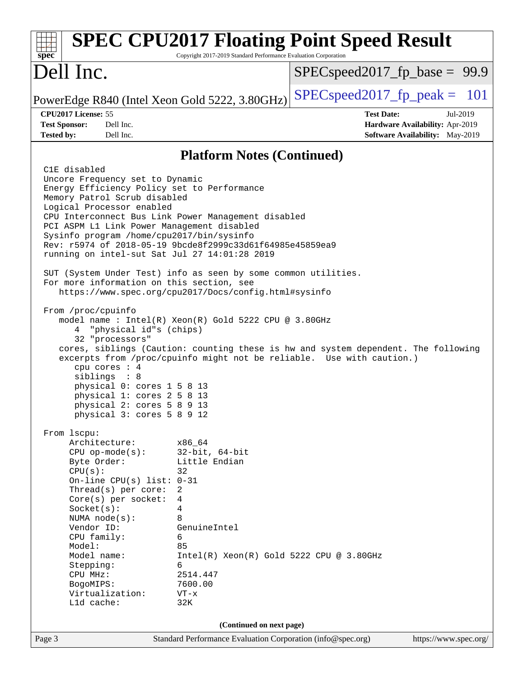| $s\overline{p}\overline{e}\overline{c}$                                                                                                                                                                                                                                                                                                                                                                                     | Copyright 2017-2019 Standard Performance Evaluation Corporation                                                                                                                                   | <b>SPEC CPU2017 Floating Point Speed Result</b>                                                                                                             |
|-----------------------------------------------------------------------------------------------------------------------------------------------------------------------------------------------------------------------------------------------------------------------------------------------------------------------------------------------------------------------------------------------------------------------------|---------------------------------------------------------------------------------------------------------------------------------------------------------------------------------------------------|-------------------------------------------------------------------------------------------------------------------------------------------------------------|
| Dell Inc.                                                                                                                                                                                                                                                                                                                                                                                                                   |                                                                                                                                                                                                   | $SPEC speed2017_f p\_base = 99.9$                                                                                                                           |
| PowerEdge R840 (Intel Xeon Gold 5222, 3.80GHz)                                                                                                                                                                                                                                                                                                                                                                              |                                                                                                                                                                                                   | $SPEC speed2017_fp\_peak = 101$                                                                                                                             |
| CPU2017 License: 55<br>Dell Inc.<br><b>Test Sponsor:</b><br>Dell Inc.<br><b>Tested by:</b>                                                                                                                                                                                                                                                                                                                                  |                                                                                                                                                                                                   | <b>Test Date:</b><br>Jul-2019<br>Hardware Availability: Apr-2019<br>Software Availability: May-2019                                                         |
|                                                                                                                                                                                                                                                                                                                                                                                                                             | <b>Platform Notes (Continued)</b>                                                                                                                                                                 |                                                                                                                                                             |
| C1E disabled<br>Uncore Frequency set to Dynamic<br>Energy Efficiency Policy set to Performance<br>Memory Patrol Scrub disabled<br>Logical Processor enabled<br>CPU Interconnect Bus Link Power Management disabled<br>PCI ASPM L1 Link Power Management disabled<br>Sysinfo program /home/cpu2017/bin/sysinfo<br>Rev: r5974 of 2018-05-19 9bcde8f2999c33d61f64985e45859ea9<br>running on intel-sut Sat Jul 27 14:01:28 2019 |                                                                                                                                                                                                   |                                                                                                                                                             |
| SUT (System Under Test) info as seen by some common utilities.<br>For more information on this section, see<br>https://www.spec.org/cpu2017/Docs/config.html#sysinfo                                                                                                                                                                                                                                                        |                                                                                                                                                                                                   |                                                                                                                                                             |
| From /proc/cpuinfo<br>model name : Intel(R) Xeon(R) Gold 5222 CPU @ 3.80GHz<br>"physical id"s (chips)<br>4<br>32 "processors"<br>cpu cores $: 4$<br>siblings : 8<br>physical 0: cores 1 5 8 13<br>physical 1: cores 2 5 8 13<br>physical 2: cores 5 8 9 13<br>physical 3: cores 5 8 9 12                                                                                                                                    |                                                                                                                                                                                                   | cores, siblings (Caution: counting these is hw and system dependent. The following<br>excerpts from /proc/cpuinfo might not be reliable. Use with caution.) |
| From 1scpu:<br>Architecture:<br>$CPU$ op-mode(s):<br>Byte Order:<br>CPU(s):<br>On-line CPU(s) list: $0-31$<br>Thread(s) per core:<br>$Core(s)$ per socket:<br>Socket(s):<br>NUMA $node(s):$<br>Vendor ID:<br>CPU family:<br>Model:<br>Model name:<br>Stepping:<br>CPU MHz:<br>BogoMIPS:<br>Virtualization:<br>Lld cache:                                                                                                    | x86 64<br>$32$ -bit, $64$ -bit<br>Little Endian<br>32<br>2<br>4<br>4<br>8<br>GenuineIntel<br>6<br>85<br>$Intel(R) Xeon(R) Gold 5222 CPU @ 3.80GHz$<br>6<br>2514.447<br>7600.00<br>$VT - x$<br>32K |                                                                                                                                                             |
| (Continued on next page)<br>Standard Performance Evaluation Corporation (info@spec.org)                                                                                                                                                                                                                                                                                                                                     |                                                                                                                                                                                                   |                                                                                                                                                             |
| Page 3                                                                                                                                                                                                                                                                                                                                                                                                                      |                                                                                                                                                                                                   | https://www.spec.org/                                                                                                                                       |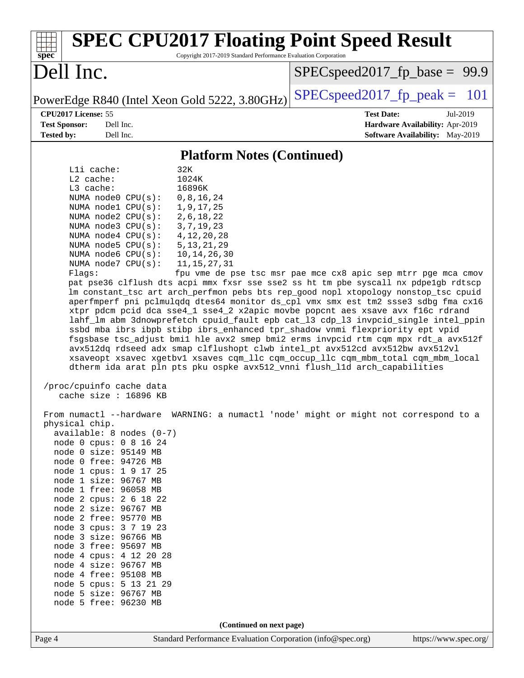| <b>SPEC CPU2017 Floating Point Speed Result</b><br>Copyright 2017-2019 Standard Performance Evaluation Corporation<br>spec <sup>®</sup>                                                                                                                                                                                                                                                                                                                                                                                                                                                                                                                                                                                                                                                                                                                                                                                                                                                                                                                                                                                                                                                                                                                                                                                                                                                                                                                                                                                                                                                                                                                                                                                                                                                                                                                                                                                                         |                                                                                                     |  |
|-------------------------------------------------------------------------------------------------------------------------------------------------------------------------------------------------------------------------------------------------------------------------------------------------------------------------------------------------------------------------------------------------------------------------------------------------------------------------------------------------------------------------------------------------------------------------------------------------------------------------------------------------------------------------------------------------------------------------------------------------------------------------------------------------------------------------------------------------------------------------------------------------------------------------------------------------------------------------------------------------------------------------------------------------------------------------------------------------------------------------------------------------------------------------------------------------------------------------------------------------------------------------------------------------------------------------------------------------------------------------------------------------------------------------------------------------------------------------------------------------------------------------------------------------------------------------------------------------------------------------------------------------------------------------------------------------------------------------------------------------------------------------------------------------------------------------------------------------------------------------------------------------------------------------------------------------|-----------------------------------------------------------------------------------------------------|--|
| Dell Inc.                                                                                                                                                                                                                                                                                                                                                                                                                                                                                                                                                                                                                                                                                                                                                                                                                                                                                                                                                                                                                                                                                                                                                                                                                                                                                                                                                                                                                                                                                                                                                                                                                                                                                                                                                                                                                                                                                                                                       | $SPEC speed2017_f p\_base = 99.9$                                                                   |  |
| PowerEdge R840 (Intel Xeon Gold 5222, 3.80GHz)                                                                                                                                                                                                                                                                                                                                                                                                                                                                                                                                                                                                                                                                                                                                                                                                                                                                                                                                                                                                                                                                                                                                                                                                                                                                                                                                                                                                                                                                                                                                                                                                                                                                                                                                                                                                                                                                                                  | $SPEC speed2017_fp\_peak =$<br>101                                                                  |  |
| CPU2017 License: 55<br>Dell Inc.<br><b>Test Sponsor:</b><br><b>Tested by:</b><br>Dell Inc.                                                                                                                                                                                                                                                                                                                                                                                                                                                                                                                                                                                                                                                                                                                                                                                                                                                                                                                                                                                                                                                                                                                                                                                                                                                                                                                                                                                                                                                                                                                                                                                                                                                                                                                                                                                                                                                      | <b>Test Date:</b><br>Jul-2019<br>Hardware Availability: Apr-2019<br>Software Availability: May-2019 |  |
| <b>Platform Notes (Continued)</b>                                                                                                                                                                                                                                                                                                                                                                                                                                                                                                                                                                                                                                                                                                                                                                                                                                                                                                                                                                                                                                                                                                                                                                                                                                                                                                                                                                                                                                                                                                                                                                                                                                                                                                                                                                                                                                                                                                               |                                                                                                     |  |
| Lli cache:<br>32K<br>L2 cache:<br>1024K<br>$L3$ cache:<br>16896K<br>NUMA node0 CPU(s):<br>0, 8, 16, 24<br>NUMA node1 CPU(s):<br>1, 9, 17, 25<br>2, 6, 18, 22<br>NUMA $node2$ $CPU(s):$<br>NUMA node3 CPU(s):<br>3, 7, 19, 23<br>NUMA node4 CPU(s):<br>4, 12, 20, 28<br>NUMA node5 CPU(s):<br>5, 13, 21, 29<br>NUMA node6 CPU(s):<br>10, 14, 26, 30<br>NUMA node7 CPU(s):<br>11, 15, 27, 31<br>Flags:<br>pat pse36 clflush dts acpi mmx fxsr sse sse2 ss ht tm pbe syscall nx pdpelgb rdtscp<br>lm constant_tsc art arch_perfmon pebs bts rep_good nopl xtopology nonstop_tsc cpuid<br>aperfmperf pni pclmulqdq dtes64 monitor ds_cpl vmx smx est tm2 ssse3 sdbg fma cx16<br>xtpr pdcm pcid dca sse4_1 sse4_2 x2apic movbe popcnt aes xsave avx f16c rdrand<br>lahf_lm abm 3dnowprefetch cpuid_fault epb cat_13 cdp_13 invpcid_single intel_ppin<br>ssbd mba ibrs ibpb stibp ibrs_enhanced tpr_shadow vnmi flexpriority ept vpid<br>fsgsbase tsc_adjust bmil hle avx2 smep bmi2 erms invpcid rtm cqm mpx rdt_a avx512f<br>avx512dq rdseed adx smap clflushopt clwb intel_pt avx512cd avx512bw avx512vl<br>xsaveopt xsavec xgetbvl xsaves cqm_llc cqm_occup_llc cqm_mbm_total cqm_mbm_local<br>dtherm ida arat pln pts pku ospke avx512_vnni flush_lld arch_capabilities<br>/proc/cpuinfo cache data<br>cache size : $16896$ KB<br>From numactl --hardware WARNING: a numactl 'node' might or might not correspond to a<br>physical chip.<br>$available: 8 nodes (0-7)$<br>node 0 cpus: 0 8 16 24<br>node 0 size: 95149 MB<br>node 0 free: 94726 MB<br>node 1 cpus: 1 9 17 25<br>node 1 size: 96767 MB<br>node 1 free: 96058 MB<br>node 2 cpus: 2 6 18 22<br>node 2 size: 96767 MB<br>node 2 free: 95770 MB<br>node 3 cpus: 3 7 19 23<br>node 3 size: 96766 MB<br>node 3 free: 95697 MB<br>node 4 cpus: 4 12 20 28<br>node 4 size: 96767 MB<br>node 4 free: 95108 MB<br>node 5 cpus: 5 13 21 29<br>node 5 size: 96767 MB<br>node 5 free: 96230 MB | fpu vme de pse tsc msr pae mce cx8 apic sep mtrr pge mca cmov                                       |  |
| (Continued on next page)                                                                                                                                                                                                                                                                                                                                                                                                                                                                                                                                                                                                                                                                                                                                                                                                                                                                                                                                                                                                                                                                                                                                                                                                                                                                                                                                                                                                                                                                                                                                                                                                                                                                                                                                                                                                                                                                                                                        |                                                                                                     |  |
| Page 4<br>Standard Performance Evaluation Corporation (info@spec.org)                                                                                                                                                                                                                                                                                                                                                                                                                                                                                                                                                                                                                                                                                                                                                                                                                                                                                                                                                                                                                                                                                                                                                                                                                                                                                                                                                                                                                                                                                                                                                                                                                                                                                                                                                                                                                                                                           | https://www.spec.org/                                                                               |  |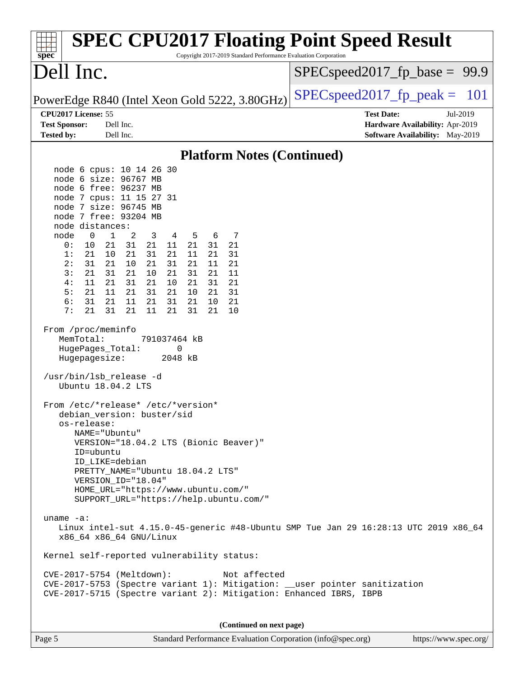| <b>SPEC CPU2017 Floating Point Speed Result</b><br>Copyright 2017-2019 Standard Performance Evaluation Corporation<br>spec <sup>®</sup>                                                                                                                                                                                                                                                                                                                                                                                                                                                                                                                                         |                                                                                                            |  |
|---------------------------------------------------------------------------------------------------------------------------------------------------------------------------------------------------------------------------------------------------------------------------------------------------------------------------------------------------------------------------------------------------------------------------------------------------------------------------------------------------------------------------------------------------------------------------------------------------------------------------------------------------------------------------------|------------------------------------------------------------------------------------------------------------|--|
| Dell Inc.                                                                                                                                                                                                                                                                                                                                                                                                                                                                                                                                                                                                                                                                       | $SPEC speed2017_f p\_base = 99.9$                                                                          |  |
| PowerEdge R840 (Intel Xeon Gold 5222, 3.80GHz)                                                                                                                                                                                                                                                                                                                                                                                                                                                                                                                                                                                                                                  | $SPEC speed2017_fp_peak =$<br>101                                                                          |  |
| CPU2017 License: 55<br><b>Test Sponsor:</b><br>Dell Inc.<br><b>Tested by:</b><br>Dell Inc.                                                                                                                                                                                                                                                                                                                                                                                                                                                                                                                                                                                      | <b>Test Date:</b><br>Jul-2019<br>Hardware Availability: Apr-2019<br><b>Software Availability:</b> May-2019 |  |
| <b>Platform Notes (Continued)</b>                                                                                                                                                                                                                                                                                                                                                                                                                                                                                                                                                                                                                                               |                                                                                                            |  |
| node 6 cpus: 10 14 26 30                                                                                                                                                                                                                                                                                                                                                                                                                                                                                                                                                                                                                                                        |                                                                                                            |  |
| node 6 size: 96767 MB<br>node 6 free: 96237 MB<br>node 7 cpus: 11 15 27 31<br>node 7 size: 96745 MB<br>node 7 free: 93204 MB<br>node distances:<br>$\mathbf 1$<br>node<br>0<br>2<br>3<br>5<br>6<br>7<br>4<br>0:<br>21<br>31<br>21<br>11<br>21<br>31<br>21<br>10<br>1:<br>21<br>10<br>21<br>31<br>21<br>11<br>21<br>31<br>2:<br>31<br>21<br>21<br>31<br>21<br>11<br>21<br>10<br>3:<br>21<br>31<br>21<br>21<br>10<br>31<br>21<br>11<br>4:<br>11<br>21<br>31<br>21<br>10<br>31<br>21<br>21<br>11<br>21<br>5:<br>21<br>21<br>31<br>10<br>21<br>31<br>6:<br>31<br>21<br>11<br>21<br>31<br>21<br>10<br>21<br>7:<br>21<br>31<br>21<br>11<br>21<br>31<br>21<br>10<br>From /proc/meminfo |                                                                                                            |  |
| MemTotal:<br>791037464 kB<br>HugePages_Total:<br>0<br>2048 kB<br>Hugepagesize:                                                                                                                                                                                                                                                                                                                                                                                                                                                                                                                                                                                                  |                                                                                                            |  |
| /usr/bin/lsb_release -d<br>Ubuntu 18.04.2 LTS                                                                                                                                                                                                                                                                                                                                                                                                                                                                                                                                                                                                                                   |                                                                                                            |  |
| From /etc/*release* /etc/*version*<br>debian_version: buster/sid<br>os-release:<br>NAME="Ubuntu"<br>VERSION="18.04.2 LTS (Bionic Beaver)"<br>ID=ubuntu<br>ID_LIKE=debian<br>PRETTY_NAME="Ubuntu 18.04.2 LTS"<br>VERSION_ID="18.04"<br>HOME_URL="https://www.ubuntu.com/"<br>SUPPORT_URL="https://help.ubuntu.com/"                                                                                                                                                                                                                                                                                                                                                              |                                                                                                            |  |
| uname $-a$ :<br>Linux intel-sut 4.15.0-45-generic #48-Ubuntu SMP Tue Jan 29 16:28:13 UTC 2019 x86_64<br>x86_64 x86_64 GNU/Linux                                                                                                                                                                                                                                                                                                                                                                                                                                                                                                                                                 |                                                                                                            |  |
| Kernel self-reported vulnerability status:                                                                                                                                                                                                                                                                                                                                                                                                                                                                                                                                                                                                                                      |                                                                                                            |  |
| CVE-2017-5754 (Meltdown):<br>Not affected<br>CVE-2017-5753 (Spectre variant 1): Mitigation: __user pointer sanitization<br>CVE-2017-5715 (Spectre variant 2): Mitigation: Enhanced IBRS, IBPB                                                                                                                                                                                                                                                                                                                                                                                                                                                                                   |                                                                                                            |  |
| (Continued on next page)                                                                                                                                                                                                                                                                                                                                                                                                                                                                                                                                                                                                                                                        |                                                                                                            |  |
| Standard Performance Evaluation Corporation (info@spec.org)<br>Page 5                                                                                                                                                                                                                                                                                                                                                                                                                                                                                                                                                                                                           | https://www.spec.org/                                                                                      |  |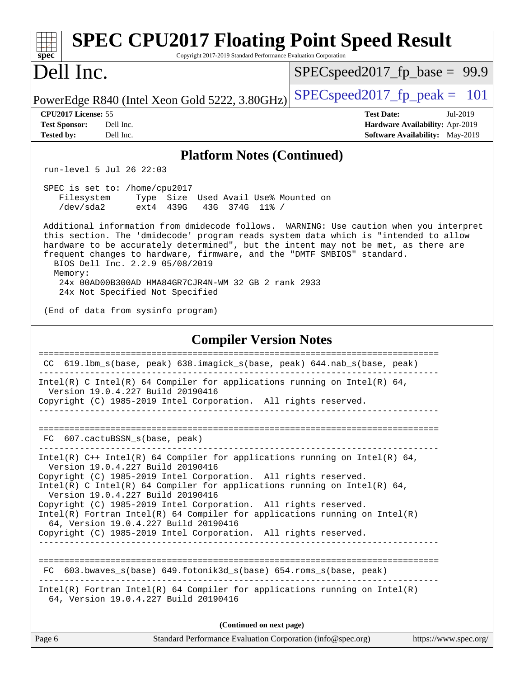| <b>SPEC CPU2017 Floating Point Speed Result</b><br>$spec^*$<br>Copyright 2017-2019 Standard Performance Evaluation Corporation                                                                                                                                                                                                                                                    |                                                                                                            |  |
|-----------------------------------------------------------------------------------------------------------------------------------------------------------------------------------------------------------------------------------------------------------------------------------------------------------------------------------------------------------------------------------|------------------------------------------------------------------------------------------------------------|--|
| Dell Inc.                                                                                                                                                                                                                                                                                                                                                                         | $SPEC speed2017_f p\_base = 99.9$                                                                          |  |
| PowerEdge R840 (Intel Xeon Gold 5222, 3.80GHz)                                                                                                                                                                                                                                                                                                                                    | $SPEC speed2017_fp\_peak = 101$                                                                            |  |
| CPU2017 License: 55<br><b>Test Sponsor:</b><br>Dell Inc.<br><b>Tested by:</b><br>Dell Inc.                                                                                                                                                                                                                                                                                        | <b>Test Date:</b><br>Jul-2019<br>Hardware Availability: Apr-2019<br><b>Software Availability:</b> May-2019 |  |
| <b>Platform Notes (Continued)</b>                                                                                                                                                                                                                                                                                                                                                 |                                                                                                            |  |
| run-level 5 Jul 26 22:03                                                                                                                                                                                                                                                                                                                                                          |                                                                                                            |  |
| SPEC is set to: /home/cpu2017<br>Filesystem<br>Type Size Used Avail Use% Mounted on<br>/dev/sda2<br>ext4 439G<br>43G 374G 11% /                                                                                                                                                                                                                                                   |                                                                                                            |  |
| Additional information from dmidecode follows. WARNING: Use caution when you interpret<br>this section. The 'dmidecode' program reads system data which is "intended to allow<br>hardware to be accurately determined", but the intent may not be met, as there are<br>frequent changes to hardware, firmware, and the "DMTF SMBIOS" standard.<br>BIOS Dell Inc. 2.2.9 05/08/2019 |                                                                                                            |  |
| Memory:<br>24x 00AD00B300AD HMA84GR7CJR4N-WM 32 GB 2 rank 2933<br>24x Not Specified Not Specified                                                                                                                                                                                                                                                                                 |                                                                                                            |  |
| (End of data from sysinfo program)                                                                                                                                                                                                                                                                                                                                                |                                                                                                            |  |
| <b>Compiler Version Notes</b>                                                                                                                                                                                                                                                                                                                                                     |                                                                                                            |  |
| -------------<br>619.1bm_s(base, peak) 638.imagick_s(base, peak) 644.nab_s(base, peak)<br>CC                                                                                                                                                                                                                                                                                      |                                                                                                            |  |
| Intel(R) C Intel(R) 64 Compiler for applications running on Intel(R) 64,<br>Version 19.0.4.227 Build 20190416<br>Copyright (C) 1985-2019 Intel Corporation. All rights reserved.                                                                                                                                                                                                  |                                                                                                            |  |
| FC 607.cactuBSSN_s(base, peak)                                                                                                                                                                                                                                                                                                                                                    |                                                                                                            |  |
| Intel(R) $C++$ Intel(R) 64 Compiler for applications running on Intel(R) 64,<br>Version 19.0.4.227 Build 20190416<br>Copyright (C) 1985-2019 Intel Corporation. All rights reserved.<br>Intel(R) C Intel(R) 64 Compiler for applications running on Intel(R) 64,<br>Version 19.0.4.227 Build 20190416                                                                             |                                                                                                            |  |
| Copyright (C) 1985-2019 Intel Corporation. All rights reserved.<br>$Intel(R)$ Fortran Intel(R) 64 Compiler for applications running on Intel(R)<br>64, Version 19.0.4.227 Build 20190416<br>Copyright (C) 1985-2019 Intel Corporation. All rights reserved.<br>___________________________________                                                                                |                                                                                                            |  |
| FC 603.bwaves_s(base) 649.fotonik3d_s(base) 654.roms_s(base, peak)                                                                                                                                                                                                                                                                                                                |                                                                                                            |  |
| $Intel(R)$ Fortran Intel(R) 64 Compiler for applications running on Intel(R)<br>64, Version 19.0.4.227 Build 20190416                                                                                                                                                                                                                                                             |                                                                                                            |  |
| (Continued on next page)                                                                                                                                                                                                                                                                                                                                                          |                                                                                                            |  |
| Standard Performance Evaluation Corporation (info@spec.org)<br>Page 6                                                                                                                                                                                                                                                                                                             | https://www.spec.org/                                                                                      |  |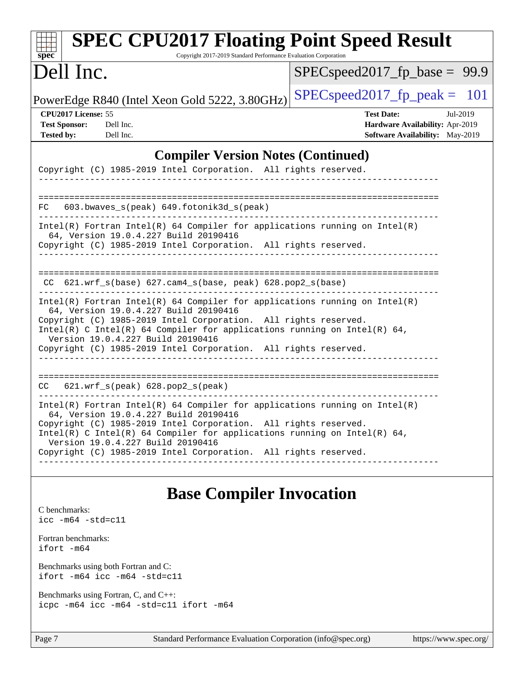| <b>SPEC CPU2017 Floating Point Speed Result</b><br>Copyright 2017-2019 Standard Performance Evaluation Corporation<br>$spec^*$                                                                                                                                                                                                                                                                               |                                                                                                            |  |
|--------------------------------------------------------------------------------------------------------------------------------------------------------------------------------------------------------------------------------------------------------------------------------------------------------------------------------------------------------------------------------------------------------------|------------------------------------------------------------------------------------------------------------|--|
| Dell Inc.                                                                                                                                                                                                                                                                                                                                                                                                    | $SPEC speed2017_f p\_base = 99.9$                                                                          |  |
| PowerEdge R840 (Intel Xeon Gold 5222, 3.80GHz)                                                                                                                                                                                                                                                                                                                                                               | $SPEC speed2017_fp\_peak = 101$                                                                            |  |
| CPU2017 License: 55<br><b>Test Sponsor:</b><br>Dell Inc.<br><b>Tested by:</b><br>Dell Inc.                                                                                                                                                                                                                                                                                                                   | <b>Test Date:</b><br>Jul-2019<br>Hardware Availability: Apr-2019<br><b>Software Availability:</b> May-2019 |  |
| <b>Compiler Version Notes (Continued)</b><br>Copyright (C) 1985-2019 Intel Corporation. All rights reserved.                                                                                                                                                                                                                                                                                                 |                                                                                                            |  |
| 603.bwaves_s(peak) 649.fotonik3d_s(peak)<br>FC                                                                                                                                                                                                                                                                                                                                                               |                                                                                                            |  |
| $Intel(R)$ Fortran Intel(R) 64 Compiler for applications running on Intel(R)<br>64, Version 19.0.4.227 Build 20190416<br>Copyright (C) 1985-2019 Intel Corporation. All rights reserved.                                                                                                                                                                                                                     |                                                                                                            |  |
| $CC$ 621.wrf_s(base) 627.cam4_s(base, peak) 628.pop2_s(base)                                                                                                                                                                                                                                                                                                                                                 |                                                                                                            |  |
| $Intel(R)$ Fortran Intel(R) 64 Compiler for applications running on Intel(R)<br>64, Version 19.0.4.227 Build 20190416<br>Copyright (C) 1985-2019 Intel Corporation. All rights reserved.<br>Intel(R) C Intel(R) 64 Compiler for applications running on Intel(R) 64,<br>Version 19.0.4.227 Build 20190416<br>Copyright (C) 1985-2019 Intel Corporation. All rights reserved.                                 |                                                                                                            |  |
| 621.wrf_s(peak) 628.pop2_s(peak)<br>CC.                                                                                                                                                                                                                                                                                                                                                                      |                                                                                                            |  |
| $Intel(R)$ Fortran Intel(R) 64 Compiler for applications running on Intel(R)<br>64, Version 19.0.4.227 Build 20190416<br>Copyright (C) 1985-2019 Intel Corporation. All rights reserved.<br>Intel(R) C Intel(R) 64 Compiler for applications running on Intel(R) 64,<br>Version 19.0.4.227 Build 20190416<br>Copyright (C) 1985-2019 Intel Corporation. All rights reserved.<br>____________________________ |                                                                                                            |  |
|                                                                                                                                                                                                                                                                                                                                                                                                              |                                                                                                            |  |

### **[Base Compiler Invocation](http://www.spec.org/auto/cpu2017/Docs/result-fields.html#BaseCompilerInvocation)**

[C benchmarks](http://www.spec.org/auto/cpu2017/Docs/result-fields.html#Cbenchmarks): [icc -m64 -std=c11](http://www.spec.org/cpu2017/results/res2019q3/cpu2017-20190805-16521.flags.html#user_CCbase_intel_icc_64bit_c11_33ee0cdaae7deeeab2a9725423ba97205ce30f63b9926c2519791662299b76a0318f32ddfffdc46587804de3178b4f9328c46fa7c2b0cd779d7a61945c91cd35)

[Fortran benchmarks](http://www.spec.org/auto/cpu2017/Docs/result-fields.html#Fortranbenchmarks): [ifort -m64](http://www.spec.org/cpu2017/results/res2019q3/cpu2017-20190805-16521.flags.html#user_FCbase_intel_ifort_64bit_24f2bb282fbaeffd6157abe4f878425411749daecae9a33200eee2bee2fe76f3b89351d69a8130dd5949958ce389cf37ff59a95e7a40d588e8d3a57e0c3fd751)

[Benchmarks using both Fortran and C](http://www.spec.org/auto/cpu2017/Docs/result-fields.html#BenchmarksusingbothFortranandC): [ifort -m64](http://www.spec.org/cpu2017/results/res2019q3/cpu2017-20190805-16521.flags.html#user_CC_FCbase_intel_ifort_64bit_24f2bb282fbaeffd6157abe4f878425411749daecae9a33200eee2bee2fe76f3b89351d69a8130dd5949958ce389cf37ff59a95e7a40d588e8d3a57e0c3fd751) [icc -m64 -std=c11](http://www.spec.org/cpu2017/results/res2019q3/cpu2017-20190805-16521.flags.html#user_CC_FCbase_intel_icc_64bit_c11_33ee0cdaae7deeeab2a9725423ba97205ce30f63b9926c2519791662299b76a0318f32ddfffdc46587804de3178b4f9328c46fa7c2b0cd779d7a61945c91cd35)

[Benchmarks using Fortran, C, and C++:](http://www.spec.org/auto/cpu2017/Docs/result-fields.html#BenchmarksusingFortranCandCXX) [icpc -m64](http://www.spec.org/cpu2017/results/res2019q3/cpu2017-20190805-16521.flags.html#user_CC_CXX_FCbase_intel_icpc_64bit_4ecb2543ae3f1412ef961e0650ca070fec7b7afdcd6ed48761b84423119d1bf6bdf5cad15b44d48e7256388bc77273b966e5eb805aefd121eb22e9299b2ec9d9) [icc -m64 -std=c11](http://www.spec.org/cpu2017/results/res2019q3/cpu2017-20190805-16521.flags.html#user_CC_CXX_FCbase_intel_icc_64bit_c11_33ee0cdaae7deeeab2a9725423ba97205ce30f63b9926c2519791662299b76a0318f32ddfffdc46587804de3178b4f9328c46fa7c2b0cd779d7a61945c91cd35) [ifort -m64](http://www.spec.org/cpu2017/results/res2019q3/cpu2017-20190805-16521.flags.html#user_CC_CXX_FCbase_intel_ifort_64bit_24f2bb282fbaeffd6157abe4f878425411749daecae9a33200eee2bee2fe76f3b89351d69a8130dd5949958ce389cf37ff59a95e7a40d588e8d3a57e0c3fd751)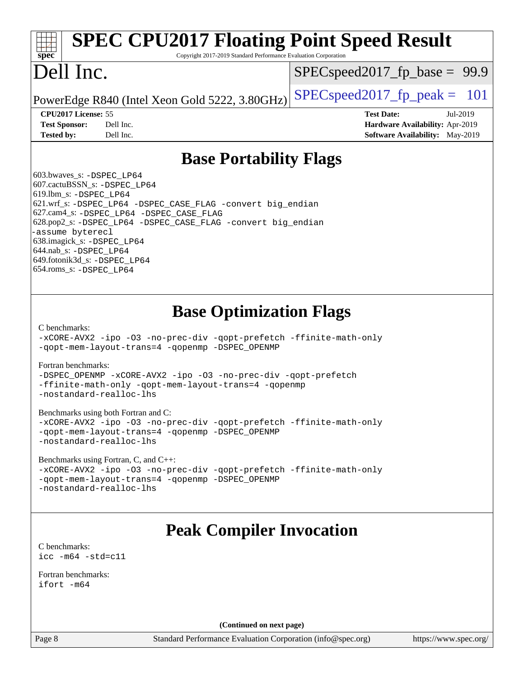#### **[spec](http://www.spec.org/) [SPEC CPU2017 Floating Point Speed Result](http://www.spec.org/auto/cpu2017/Docs/result-fields.html#SPECCPU2017FloatingPointSpeedResult)** Copyright 2017-2019 Standard Performance Evaluation Corporation Dell Inc. PowerEdge R840 (Intel Xeon Gold 5222, 3.80GHz)  $\left|$  [SPECspeed2017\\_fp\\_peak =](http://www.spec.org/auto/cpu2017/Docs/result-fields.html#SPECspeed2017fppeak) 101  $SPECspeed2017_fp_base = 99.9$  $SPECspeed2017_fp_base = 99.9$ **[CPU2017 License:](http://www.spec.org/auto/cpu2017/Docs/result-fields.html#CPU2017License)** 55 **[Test Date:](http://www.spec.org/auto/cpu2017/Docs/result-fields.html#TestDate)** Jul-2019 **[Test Sponsor:](http://www.spec.org/auto/cpu2017/Docs/result-fields.html#TestSponsor)** Dell Inc. **[Hardware Availability:](http://www.spec.org/auto/cpu2017/Docs/result-fields.html#HardwareAvailability)** Apr-2019

**[Tested by:](http://www.spec.org/auto/cpu2017/Docs/result-fields.html#Testedby)** Dell Inc. **[Software Availability:](http://www.spec.org/auto/cpu2017/Docs/result-fields.html#SoftwareAvailability)** May-2019

### **[Base Portability Flags](http://www.spec.org/auto/cpu2017/Docs/result-fields.html#BasePortabilityFlags)**

 603.bwaves\_s: [-DSPEC\\_LP64](http://www.spec.org/cpu2017/results/res2019q3/cpu2017-20190805-16521.flags.html#suite_basePORTABILITY603_bwaves_s_DSPEC_LP64) 607.cactuBSSN\_s: [-DSPEC\\_LP64](http://www.spec.org/cpu2017/results/res2019q3/cpu2017-20190805-16521.flags.html#suite_basePORTABILITY607_cactuBSSN_s_DSPEC_LP64) 619.lbm\_s: [-DSPEC\\_LP64](http://www.spec.org/cpu2017/results/res2019q3/cpu2017-20190805-16521.flags.html#suite_basePORTABILITY619_lbm_s_DSPEC_LP64) 621.wrf\_s: [-DSPEC\\_LP64](http://www.spec.org/cpu2017/results/res2019q3/cpu2017-20190805-16521.flags.html#suite_basePORTABILITY621_wrf_s_DSPEC_LP64) [-DSPEC\\_CASE\\_FLAG](http://www.spec.org/cpu2017/results/res2019q3/cpu2017-20190805-16521.flags.html#b621.wrf_s_baseCPORTABILITY_DSPEC_CASE_FLAG) [-convert big\\_endian](http://www.spec.org/cpu2017/results/res2019q3/cpu2017-20190805-16521.flags.html#user_baseFPORTABILITY621_wrf_s_convert_big_endian_c3194028bc08c63ac5d04de18c48ce6d347e4e562e8892b8bdbdc0214820426deb8554edfa529a3fb25a586e65a3d812c835984020483e7e73212c4d31a38223) 627.cam4\_s: [-DSPEC\\_LP64](http://www.spec.org/cpu2017/results/res2019q3/cpu2017-20190805-16521.flags.html#suite_basePORTABILITY627_cam4_s_DSPEC_LP64) [-DSPEC\\_CASE\\_FLAG](http://www.spec.org/cpu2017/results/res2019q3/cpu2017-20190805-16521.flags.html#b627.cam4_s_baseCPORTABILITY_DSPEC_CASE_FLAG) 628.pop2\_s: [-DSPEC\\_LP64](http://www.spec.org/cpu2017/results/res2019q3/cpu2017-20190805-16521.flags.html#suite_basePORTABILITY628_pop2_s_DSPEC_LP64) [-DSPEC\\_CASE\\_FLAG](http://www.spec.org/cpu2017/results/res2019q3/cpu2017-20190805-16521.flags.html#b628.pop2_s_baseCPORTABILITY_DSPEC_CASE_FLAG) [-convert big\\_endian](http://www.spec.org/cpu2017/results/res2019q3/cpu2017-20190805-16521.flags.html#user_baseFPORTABILITY628_pop2_s_convert_big_endian_c3194028bc08c63ac5d04de18c48ce6d347e4e562e8892b8bdbdc0214820426deb8554edfa529a3fb25a586e65a3d812c835984020483e7e73212c4d31a38223) [-assume byterecl](http://www.spec.org/cpu2017/results/res2019q3/cpu2017-20190805-16521.flags.html#user_baseFPORTABILITY628_pop2_s_assume_byterecl_7e47d18b9513cf18525430bbf0f2177aa9bf368bc7a059c09b2c06a34b53bd3447c950d3f8d6c70e3faf3a05c8557d66a5798b567902e8849adc142926523472) 638.imagick\_s: [-DSPEC\\_LP64](http://www.spec.org/cpu2017/results/res2019q3/cpu2017-20190805-16521.flags.html#suite_basePORTABILITY638_imagick_s_DSPEC_LP64) 644.nab\_s: [-DSPEC\\_LP64](http://www.spec.org/cpu2017/results/res2019q3/cpu2017-20190805-16521.flags.html#suite_basePORTABILITY644_nab_s_DSPEC_LP64) 649.fotonik3d\_s: [-DSPEC\\_LP64](http://www.spec.org/cpu2017/results/res2019q3/cpu2017-20190805-16521.flags.html#suite_basePORTABILITY649_fotonik3d_s_DSPEC_LP64) 654.roms\_s: [-DSPEC\\_LP64](http://www.spec.org/cpu2017/results/res2019q3/cpu2017-20190805-16521.flags.html#suite_basePORTABILITY654_roms_s_DSPEC_LP64)

### **[Base Optimization Flags](http://www.spec.org/auto/cpu2017/Docs/result-fields.html#BaseOptimizationFlags)**

[C benchmarks](http://www.spec.org/auto/cpu2017/Docs/result-fields.html#Cbenchmarks):

[-xCORE-AVX2](http://www.spec.org/cpu2017/results/res2019q3/cpu2017-20190805-16521.flags.html#user_CCbase_f-xCORE-AVX2) [-ipo](http://www.spec.org/cpu2017/results/res2019q3/cpu2017-20190805-16521.flags.html#user_CCbase_f-ipo) [-O3](http://www.spec.org/cpu2017/results/res2019q3/cpu2017-20190805-16521.flags.html#user_CCbase_f-O3) [-no-prec-div](http://www.spec.org/cpu2017/results/res2019q3/cpu2017-20190805-16521.flags.html#user_CCbase_f-no-prec-div) [-qopt-prefetch](http://www.spec.org/cpu2017/results/res2019q3/cpu2017-20190805-16521.flags.html#user_CCbase_f-qopt-prefetch) [-ffinite-math-only](http://www.spec.org/cpu2017/results/res2019q3/cpu2017-20190805-16521.flags.html#user_CCbase_f_finite_math_only_cb91587bd2077682c4b38af759c288ed7c732db004271a9512da14a4f8007909a5f1427ecbf1a0fb78ff2a814402c6114ac565ca162485bbcae155b5e4258871) [-qopt-mem-layout-trans=4](http://www.spec.org/cpu2017/results/res2019q3/cpu2017-20190805-16521.flags.html#user_CCbase_f-qopt-mem-layout-trans_fa39e755916c150a61361b7846f310bcdf6f04e385ef281cadf3647acec3f0ae266d1a1d22d972a7087a248fd4e6ca390a3634700869573d231a252c784941a8) [-qopenmp](http://www.spec.org/cpu2017/results/res2019q3/cpu2017-20190805-16521.flags.html#user_CCbase_qopenmp_16be0c44f24f464004c6784a7acb94aca937f053568ce72f94b139a11c7c168634a55f6653758ddd83bcf7b8463e8028bb0b48b77bcddc6b78d5d95bb1df2967) [-DSPEC\\_OPENMP](http://www.spec.org/cpu2017/results/res2019q3/cpu2017-20190805-16521.flags.html#suite_CCbase_DSPEC_OPENMP)

[Fortran benchmarks](http://www.spec.org/auto/cpu2017/Docs/result-fields.html#Fortranbenchmarks):

[-DSPEC\\_OPENMP](http://www.spec.org/cpu2017/results/res2019q3/cpu2017-20190805-16521.flags.html#suite_FCbase_DSPEC_OPENMP) [-xCORE-AVX2](http://www.spec.org/cpu2017/results/res2019q3/cpu2017-20190805-16521.flags.html#user_FCbase_f-xCORE-AVX2) [-ipo](http://www.spec.org/cpu2017/results/res2019q3/cpu2017-20190805-16521.flags.html#user_FCbase_f-ipo) [-O3](http://www.spec.org/cpu2017/results/res2019q3/cpu2017-20190805-16521.flags.html#user_FCbase_f-O3) [-no-prec-div](http://www.spec.org/cpu2017/results/res2019q3/cpu2017-20190805-16521.flags.html#user_FCbase_f-no-prec-div) [-qopt-prefetch](http://www.spec.org/cpu2017/results/res2019q3/cpu2017-20190805-16521.flags.html#user_FCbase_f-qopt-prefetch) [-ffinite-math-only](http://www.spec.org/cpu2017/results/res2019q3/cpu2017-20190805-16521.flags.html#user_FCbase_f_finite_math_only_cb91587bd2077682c4b38af759c288ed7c732db004271a9512da14a4f8007909a5f1427ecbf1a0fb78ff2a814402c6114ac565ca162485bbcae155b5e4258871) [-qopt-mem-layout-trans=4](http://www.spec.org/cpu2017/results/res2019q3/cpu2017-20190805-16521.flags.html#user_FCbase_f-qopt-mem-layout-trans_fa39e755916c150a61361b7846f310bcdf6f04e385ef281cadf3647acec3f0ae266d1a1d22d972a7087a248fd4e6ca390a3634700869573d231a252c784941a8) [-qopenmp](http://www.spec.org/cpu2017/results/res2019q3/cpu2017-20190805-16521.flags.html#user_FCbase_qopenmp_16be0c44f24f464004c6784a7acb94aca937f053568ce72f94b139a11c7c168634a55f6653758ddd83bcf7b8463e8028bb0b48b77bcddc6b78d5d95bb1df2967) [-nostandard-realloc-lhs](http://www.spec.org/cpu2017/results/res2019q3/cpu2017-20190805-16521.flags.html#user_FCbase_f_2003_std_realloc_82b4557e90729c0f113870c07e44d33d6f5a304b4f63d4c15d2d0f1fab99f5daaed73bdb9275d9ae411527f28b936061aa8b9c8f2d63842963b95c9dd6426b8a)

[Benchmarks using both Fortran and C](http://www.spec.org/auto/cpu2017/Docs/result-fields.html#BenchmarksusingbothFortranandC):

[-xCORE-AVX2](http://www.spec.org/cpu2017/results/res2019q3/cpu2017-20190805-16521.flags.html#user_CC_FCbase_f-xCORE-AVX2) [-ipo](http://www.spec.org/cpu2017/results/res2019q3/cpu2017-20190805-16521.flags.html#user_CC_FCbase_f-ipo) [-O3](http://www.spec.org/cpu2017/results/res2019q3/cpu2017-20190805-16521.flags.html#user_CC_FCbase_f-O3) [-no-prec-div](http://www.spec.org/cpu2017/results/res2019q3/cpu2017-20190805-16521.flags.html#user_CC_FCbase_f-no-prec-div) [-qopt-prefetch](http://www.spec.org/cpu2017/results/res2019q3/cpu2017-20190805-16521.flags.html#user_CC_FCbase_f-qopt-prefetch) [-ffinite-math-only](http://www.spec.org/cpu2017/results/res2019q3/cpu2017-20190805-16521.flags.html#user_CC_FCbase_f_finite_math_only_cb91587bd2077682c4b38af759c288ed7c732db004271a9512da14a4f8007909a5f1427ecbf1a0fb78ff2a814402c6114ac565ca162485bbcae155b5e4258871) [-qopt-mem-layout-trans=4](http://www.spec.org/cpu2017/results/res2019q3/cpu2017-20190805-16521.flags.html#user_CC_FCbase_f-qopt-mem-layout-trans_fa39e755916c150a61361b7846f310bcdf6f04e385ef281cadf3647acec3f0ae266d1a1d22d972a7087a248fd4e6ca390a3634700869573d231a252c784941a8) [-qopenmp](http://www.spec.org/cpu2017/results/res2019q3/cpu2017-20190805-16521.flags.html#user_CC_FCbase_qopenmp_16be0c44f24f464004c6784a7acb94aca937f053568ce72f94b139a11c7c168634a55f6653758ddd83bcf7b8463e8028bb0b48b77bcddc6b78d5d95bb1df2967) [-DSPEC\\_OPENMP](http://www.spec.org/cpu2017/results/res2019q3/cpu2017-20190805-16521.flags.html#suite_CC_FCbase_DSPEC_OPENMP) [-nostandard-realloc-lhs](http://www.spec.org/cpu2017/results/res2019q3/cpu2017-20190805-16521.flags.html#user_CC_FCbase_f_2003_std_realloc_82b4557e90729c0f113870c07e44d33d6f5a304b4f63d4c15d2d0f1fab99f5daaed73bdb9275d9ae411527f28b936061aa8b9c8f2d63842963b95c9dd6426b8a)

[Benchmarks using Fortran, C, and C++:](http://www.spec.org/auto/cpu2017/Docs/result-fields.html#BenchmarksusingFortranCandCXX)

[-xCORE-AVX2](http://www.spec.org/cpu2017/results/res2019q3/cpu2017-20190805-16521.flags.html#user_CC_CXX_FCbase_f-xCORE-AVX2) [-ipo](http://www.spec.org/cpu2017/results/res2019q3/cpu2017-20190805-16521.flags.html#user_CC_CXX_FCbase_f-ipo) [-O3](http://www.spec.org/cpu2017/results/res2019q3/cpu2017-20190805-16521.flags.html#user_CC_CXX_FCbase_f-O3) [-no-prec-div](http://www.spec.org/cpu2017/results/res2019q3/cpu2017-20190805-16521.flags.html#user_CC_CXX_FCbase_f-no-prec-div) [-qopt-prefetch](http://www.spec.org/cpu2017/results/res2019q3/cpu2017-20190805-16521.flags.html#user_CC_CXX_FCbase_f-qopt-prefetch) [-ffinite-math-only](http://www.spec.org/cpu2017/results/res2019q3/cpu2017-20190805-16521.flags.html#user_CC_CXX_FCbase_f_finite_math_only_cb91587bd2077682c4b38af759c288ed7c732db004271a9512da14a4f8007909a5f1427ecbf1a0fb78ff2a814402c6114ac565ca162485bbcae155b5e4258871) [-qopt-mem-layout-trans=4](http://www.spec.org/cpu2017/results/res2019q3/cpu2017-20190805-16521.flags.html#user_CC_CXX_FCbase_f-qopt-mem-layout-trans_fa39e755916c150a61361b7846f310bcdf6f04e385ef281cadf3647acec3f0ae266d1a1d22d972a7087a248fd4e6ca390a3634700869573d231a252c784941a8) [-qopenmp](http://www.spec.org/cpu2017/results/res2019q3/cpu2017-20190805-16521.flags.html#user_CC_CXX_FCbase_qopenmp_16be0c44f24f464004c6784a7acb94aca937f053568ce72f94b139a11c7c168634a55f6653758ddd83bcf7b8463e8028bb0b48b77bcddc6b78d5d95bb1df2967) [-DSPEC\\_OPENMP](http://www.spec.org/cpu2017/results/res2019q3/cpu2017-20190805-16521.flags.html#suite_CC_CXX_FCbase_DSPEC_OPENMP) [-nostandard-realloc-lhs](http://www.spec.org/cpu2017/results/res2019q3/cpu2017-20190805-16521.flags.html#user_CC_CXX_FCbase_f_2003_std_realloc_82b4557e90729c0f113870c07e44d33d6f5a304b4f63d4c15d2d0f1fab99f5daaed73bdb9275d9ae411527f28b936061aa8b9c8f2d63842963b95c9dd6426b8a)

## **[Peak Compiler Invocation](http://www.spec.org/auto/cpu2017/Docs/result-fields.html#PeakCompilerInvocation)**

[C benchmarks](http://www.spec.org/auto/cpu2017/Docs/result-fields.html#Cbenchmarks): [icc -m64 -std=c11](http://www.spec.org/cpu2017/results/res2019q3/cpu2017-20190805-16521.flags.html#user_CCpeak_intel_icc_64bit_c11_33ee0cdaae7deeeab2a9725423ba97205ce30f63b9926c2519791662299b76a0318f32ddfffdc46587804de3178b4f9328c46fa7c2b0cd779d7a61945c91cd35)

[Fortran benchmarks](http://www.spec.org/auto/cpu2017/Docs/result-fields.html#Fortranbenchmarks): [ifort -m64](http://www.spec.org/cpu2017/results/res2019q3/cpu2017-20190805-16521.flags.html#user_FCpeak_intel_ifort_64bit_24f2bb282fbaeffd6157abe4f878425411749daecae9a33200eee2bee2fe76f3b89351d69a8130dd5949958ce389cf37ff59a95e7a40d588e8d3a57e0c3fd751)

**(Continued on next page)**

Page 8 Standard Performance Evaluation Corporation [\(info@spec.org\)](mailto:info@spec.org) <https://www.spec.org/>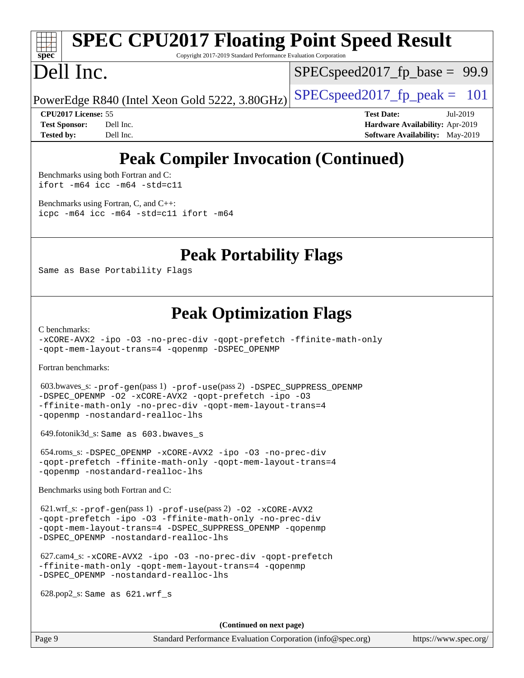# **[spec](http://www.spec.org/)**

# **[SPEC CPU2017 Floating Point Speed Result](http://www.spec.org/auto/cpu2017/Docs/result-fields.html#SPECCPU2017FloatingPointSpeedResult)**

Copyright 2017-2019 Standard Performance Evaluation Corporation

# Dell Inc.

 $SPECspeed2017_fp_base = 99.9$  $SPECspeed2017_fp_base = 99.9$ 

PowerEdge R840 (Intel Xeon Gold 5222, 3.80GHz)  $\left|$  [SPECspeed2017\\_fp\\_peak =](http://www.spec.org/auto/cpu2017/Docs/result-fields.html#SPECspeed2017fppeak) 101

**[CPU2017 License:](http://www.spec.org/auto/cpu2017/Docs/result-fields.html#CPU2017License)** 55 **[Test Date:](http://www.spec.org/auto/cpu2017/Docs/result-fields.html#TestDate)** Jul-2019 **[Test Sponsor:](http://www.spec.org/auto/cpu2017/Docs/result-fields.html#TestSponsor)** Dell Inc. **[Hardware Availability:](http://www.spec.org/auto/cpu2017/Docs/result-fields.html#HardwareAvailability)** Apr-2019 **[Tested by:](http://www.spec.org/auto/cpu2017/Docs/result-fields.html#Testedby)** Dell Inc. **[Software Availability:](http://www.spec.org/auto/cpu2017/Docs/result-fields.html#SoftwareAvailability)** May-2019

## **[Peak Compiler Invocation \(Continued\)](http://www.spec.org/auto/cpu2017/Docs/result-fields.html#PeakCompilerInvocation)**

[Benchmarks using both Fortran and C](http://www.spec.org/auto/cpu2017/Docs/result-fields.html#BenchmarksusingbothFortranandC): [ifort -m64](http://www.spec.org/cpu2017/results/res2019q3/cpu2017-20190805-16521.flags.html#user_CC_FCpeak_intel_ifort_64bit_24f2bb282fbaeffd6157abe4f878425411749daecae9a33200eee2bee2fe76f3b89351d69a8130dd5949958ce389cf37ff59a95e7a40d588e8d3a57e0c3fd751) [icc -m64 -std=c11](http://www.spec.org/cpu2017/results/res2019q3/cpu2017-20190805-16521.flags.html#user_CC_FCpeak_intel_icc_64bit_c11_33ee0cdaae7deeeab2a9725423ba97205ce30f63b9926c2519791662299b76a0318f32ddfffdc46587804de3178b4f9328c46fa7c2b0cd779d7a61945c91cd35)

[Benchmarks using Fortran, C, and C++:](http://www.spec.org/auto/cpu2017/Docs/result-fields.html#BenchmarksusingFortranCandCXX) [icpc -m64](http://www.spec.org/cpu2017/results/res2019q3/cpu2017-20190805-16521.flags.html#user_CC_CXX_FCpeak_intel_icpc_64bit_4ecb2543ae3f1412ef961e0650ca070fec7b7afdcd6ed48761b84423119d1bf6bdf5cad15b44d48e7256388bc77273b966e5eb805aefd121eb22e9299b2ec9d9) [icc -m64 -std=c11](http://www.spec.org/cpu2017/results/res2019q3/cpu2017-20190805-16521.flags.html#user_CC_CXX_FCpeak_intel_icc_64bit_c11_33ee0cdaae7deeeab2a9725423ba97205ce30f63b9926c2519791662299b76a0318f32ddfffdc46587804de3178b4f9328c46fa7c2b0cd779d7a61945c91cd35) [ifort -m64](http://www.spec.org/cpu2017/results/res2019q3/cpu2017-20190805-16521.flags.html#user_CC_CXX_FCpeak_intel_ifort_64bit_24f2bb282fbaeffd6157abe4f878425411749daecae9a33200eee2bee2fe76f3b89351d69a8130dd5949958ce389cf37ff59a95e7a40d588e8d3a57e0c3fd751)

### **[Peak Portability Flags](http://www.spec.org/auto/cpu2017/Docs/result-fields.html#PeakPortabilityFlags)**

Same as Base Portability Flags

### **[Peak Optimization Flags](http://www.spec.org/auto/cpu2017/Docs/result-fields.html#PeakOptimizationFlags)**

[C benchmarks](http://www.spec.org/auto/cpu2017/Docs/result-fields.html#Cbenchmarks):

[-xCORE-AVX2](http://www.spec.org/cpu2017/results/res2019q3/cpu2017-20190805-16521.flags.html#user_CCpeak_f-xCORE-AVX2) [-ipo](http://www.spec.org/cpu2017/results/res2019q3/cpu2017-20190805-16521.flags.html#user_CCpeak_f-ipo) [-O3](http://www.spec.org/cpu2017/results/res2019q3/cpu2017-20190805-16521.flags.html#user_CCpeak_f-O3) [-no-prec-div](http://www.spec.org/cpu2017/results/res2019q3/cpu2017-20190805-16521.flags.html#user_CCpeak_f-no-prec-div) [-qopt-prefetch](http://www.spec.org/cpu2017/results/res2019q3/cpu2017-20190805-16521.flags.html#user_CCpeak_f-qopt-prefetch) [-ffinite-math-only](http://www.spec.org/cpu2017/results/res2019q3/cpu2017-20190805-16521.flags.html#user_CCpeak_f_finite_math_only_cb91587bd2077682c4b38af759c288ed7c732db004271a9512da14a4f8007909a5f1427ecbf1a0fb78ff2a814402c6114ac565ca162485bbcae155b5e4258871) [-qopt-mem-layout-trans=4](http://www.spec.org/cpu2017/results/res2019q3/cpu2017-20190805-16521.flags.html#user_CCpeak_f-qopt-mem-layout-trans_fa39e755916c150a61361b7846f310bcdf6f04e385ef281cadf3647acec3f0ae266d1a1d22d972a7087a248fd4e6ca390a3634700869573d231a252c784941a8) [-qopenmp](http://www.spec.org/cpu2017/results/res2019q3/cpu2017-20190805-16521.flags.html#user_CCpeak_qopenmp_16be0c44f24f464004c6784a7acb94aca937f053568ce72f94b139a11c7c168634a55f6653758ddd83bcf7b8463e8028bb0b48b77bcddc6b78d5d95bb1df2967) [-DSPEC\\_OPENMP](http://www.spec.org/cpu2017/results/res2019q3/cpu2017-20190805-16521.flags.html#suite_CCpeak_DSPEC_OPENMP)

[Fortran benchmarks](http://www.spec.org/auto/cpu2017/Docs/result-fields.html#Fortranbenchmarks):

 603.bwaves\_s: [-prof-gen](http://www.spec.org/cpu2017/results/res2019q3/cpu2017-20190805-16521.flags.html#user_peakPASS1_FFLAGSPASS1_LDFLAGS603_bwaves_s_prof_gen_5aa4926d6013ddb2a31985c654b3eb18169fc0c6952a63635c234f711e6e63dd76e94ad52365559451ec499a2cdb89e4dc58ba4c67ef54ca681ffbe1461d6b36)(pass 1) [-prof-use](http://www.spec.org/cpu2017/results/res2019q3/cpu2017-20190805-16521.flags.html#user_peakPASS2_FFLAGSPASS2_LDFLAGS603_bwaves_s_prof_use_1a21ceae95f36a2b53c25747139a6c16ca95bd9def2a207b4f0849963b97e94f5260e30a0c64f4bb623698870e679ca08317ef8150905d41bd88c6f78df73f19)(pass 2) [-DSPEC\\_SUPPRESS\\_OPENMP](http://www.spec.org/cpu2017/results/res2019q3/cpu2017-20190805-16521.flags.html#suite_peakPASS1_FOPTIMIZE603_bwaves_s_DSPEC_SUPPRESS_OPENMP) [-DSPEC\\_OPENMP](http://www.spec.org/cpu2017/results/res2019q3/cpu2017-20190805-16521.flags.html#suite_peakPASS2_FOPTIMIZE603_bwaves_s_DSPEC_OPENMP) [-O2](http://www.spec.org/cpu2017/results/res2019q3/cpu2017-20190805-16521.flags.html#user_peakPASS1_FOPTIMIZE603_bwaves_s_f-O2) [-xCORE-AVX2](http://www.spec.org/cpu2017/results/res2019q3/cpu2017-20190805-16521.flags.html#user_peakPASS2_FOPTIMIZE603_bwaves_s_f-xCORE-AVX2) [-qopt-prefetch](http://www.spec.org/cpu2017/results/res2019q3/cpu2017-20190805-16521.flags.html#user_peakPASS1_FOPTIMIZEPASS2_FOPTIMIZE603_bwaves_s_f-qopt-prefetch) [-ipo](http://www.spec.org/cpu2017/results/res2019q3/cpu2017-20190805-16521.flags.html#user_peakPASS2_FOPTIMIZE603_bwaves_s_f-ipo) [-O3](http://www.spec.org/cpu2017/results/res2019q3/cpu2017-20190805-16521.flags.html#user_peakPASS2_FOPTIMIZE603_bwaves_s_f-O3) [-ffinite-math-only](http://www.spec.org/cpu2017/results/res2019q3/cpu2017-20190805-16521.flags.html#user_peakPASS1_FOPTIMIZEPASS2_FOPTIMIZE603_bwaves_s_f_finite_math_only_cb91587bd2077682c4b38af759c288ed7c732db004271a9512da14a4f8007909a5f1427ecbf1a0fb78ff2a814402c6114ac565ca162485bbcae155b5e4258871) [-no-prec-div](http://www.spec.org/cpu2017/results/res2019q3/cpu2017-20190805-16521.flags.html#user_peakPASS2_FOPTIMIZE603_bwaves_s_f-no-prec-div) [-qopt-mem-layout-trans=4](http://www.spec.org/cpu2017/results/res2019q3/cpu2017-20190805-16521.flags.html#user_peakPASS1_FOPTIMIZEPASS2_FOPTIMIZE603_bwaves_s_f-qopt-mem-layout-trans_fa39e755916c150a61361b7846f310bcdf6f04e385ef281cadf3647acec3f0ae266d1a1d22d972a7087a248fd4e6ca390a3634700869573d231a252c784941a8) [-qopenmp](http://www.spec.org/cpu2017/results/res2019q3/cpu2017-20190805-16521.flags.html#user_peakPASS2_FOPTIMIZE603_bwaves_s_qopenmp_16be0c44f24f464004c6784a7acb94aca937f053568ce72f94b139a11c7c168634a55f6653758ddd83bcf7b8463e8028bb0b48b77bcddc6b78d5d95bb1df2967) [-nostandard-realloc-lhs](http://www.spec.org/cpu2017/results/res2019q3/cpu2017-20190805-16521.flags.html#user_peakEXTRA_FOPTIMIZE603_bwaves_s_f_2003_std_realloc_82b4557e90729c0f113870c07e44d33d6f5a304b4f63d4c15d2d0f1fab99f5daaed73bdb9275d9ae411527f28b936061aa8b9c8f2d63842963b95c9dd6426b8a)

649.fotonik3d\_s: Same as 603.bwaves\_s

 654.roms\_s: [-DSPEC\\_OPENMP](http://www.spec.org/cpu2017/results/res2019q3/cpu2017-20190805-16521.flags.html#suite_peakFOPTIMIZE654_roms_s_DSPEC_OPENMP) [-xCORE-AVX2](http://www.spec.org/cpu2017/results/res2019q3/cpu2017-20190805-16521.flags.html#user_peakFOPTIMIZE654_roms_s_f-xCORE-AVX2) [-ipo](http://www.spec.org/cpu2017/results/res2019q3/cpu2017-20190805-16521.flags.html#user_peakFOPTIMIZE654_roms_s_f-ipo) [-O3](http://www.spec.org/cpu2017/results/res2019q3/cpu2017-20190805-16521.flags.html#user_peakFOPTIMIZE654_roms_s_f-O3) [-no-prec-div](http://www.spec.org/cpu2017/results/res2019q3/cpu2017-20190805-16521.flags.html#user_peakFOPTIMIZE654_roms_s_f-no-prec-div) [-qopt-prefetch](http://www.spec.org/cpu2017/results/res2019q3/cpu2017-20190805-16521.flags.html#user_peakFOPTIMIZE654_roms_s_f-qopt-prefetch) [-ffinite-math-only](http://www.spec.org/cpu2017/results/res2019q3/cpu2017-20190805-16521.flags.html#user_peakFOPTIMIZE654_roms_s_f_finite_math_only_cb91587bd2077682c4b38af759c288ed7c732db004271a9512da14a4f8007909a5f1427ecbf1a0fb78ff2a814402c6114ac565ca162485bbcae155b5e4258871) [-qopt-mem-layout-trans=4](http://www.spec.org/cpu2017/results/res2019q3/cpu2017-20190805-16521.flags.html#user_peakFOPTIMIZE654_roms_s_f-qopt-mem-layout-trans_fa39e755916c150a61361b7846f310bcdf6f04e385ef281cadf3647acec3f0ae266d1a1d22d972a7087a248fd4e6ca390a3634700869573d231a252c784941a8) [-qopenmp](http://www.spec.org/cpu2017/results/res2019q3/cpu2017-20190805-16521.flags.html#user_peakFOPTIMIZE654_roms_s_qopenmp_16be0c44f24f464004c6784a7acb94aca937f053568ce72f94b139a11c7c168634a55f6653758ddd83bcf7b8463e8028bb0b48b77bcddc6b78d5d95bb1df2967) [-nostandard-realloc-lhs](http://www.spec.org/cpu2017/results/res2019q3/cpu2017-20190805-16521.flags.html#user_peakEXTRA_FOPTIMIZE654_roms_s_f_2003_std_realloc_82b4557e90729c0f113870c07e44d33d6f5a304b4f63d4c15d2d0f1fab99f5daaed73bdb9275d9ae411527f28b936061aa8b9c8f2d63842963b95c9dd6426b8a)

[Benchmarks using both Fortran and C](http://www.spec.org/auto/cpu2017/Docs/result-fields.html#BenchmarksusingbothFortranandC):

 621.wrf\_s: [-prof-gen](http://www.spec.org/cpu2017/results/res2019q3/cpu2017-20190805-16521.flags.html#user_peakPASS1_CFLAGSPASS1_FFLAGSPASS1_LDFLAGS621_wrf_s_prof_gen_5aa4926d6013ddb2a31985c654b3eb18169fc0c6952a63635c234f711e6e63dd76e94ad52365559451ec499a2cdb89e4dc58ba4c67ef54ca681ffbe1461d6b36)(pass 1) [-prof-use](http://www.spec.org/cpu2017/results/res2019q3/cpu2017-20190805-16521.flags.html#user_peakPASS2_CFLAGSPASS2_FFLAGSPASS2_LDFLAGS621_wrf_s_prof_use_1a21ceae95f36a2b53c25747139a6c16ca95bd9def2a207b4f0849963b97e94f5260e30a0c64f4bb623698870e679ca08317ef8150905d41bd88c6f78df73f19)(pass 2) [-O2](http://www.spec.org/cpu2017/results/res2019q3/cpu2017-20190805-16521.flags.html#user_peakPASS1_COPTIMIZEPASS1_FOPTIMIZE621_wrf_s_f-O2) [-xCORE-AVX2](http://www.spec.org/cpu2017/results/res2019q3/cpu2017-20190805-16521.flags.html#user_peakPASS2_COPTIMIZEPASS2_FOPTIMIZE621_wrf_s_f-xCORE-AVX2) [-qopt-prefetch](http://www.spec.org/cpu2017/results/res2019q3/cpu2017-20190805-16521.flags.html#user_peakPASS1_COPTIMIZEPASS1_FOPTIMIZEPASS2_COPTIMIZEPASS2_FOPTIMIZE621_wrf_s_f-qopt-prefetch) [-ipo](http://www.spec.org/cpu2017/results/res2019q3/cpu2017-20190805-16521.flags.html#user_peakPASS2_COPTIMIZEPASS2_FOPTIMIZE621_wrf_s_f-ipo) [-O3](http://www.spec.org/cpu2017/results/res2019q3/cpu2017-20190805-16521.flags.html#user_peakPASS2_COPTIMIZEPASS2_FOPTIMIZE621_wrf_s_f-O3) [-ffinite-math-only](http://www.spec.org/cpu2017/results/res2019q3/cpu2017-20190805-16521.flags.html#user_peakPASS1_COPTIMIZEPASS1_FOPTIMIZEPASS2_COPTIMIZEPASS2_FOPTIMIZE621_wrf_s_f_finite_math_only_cb91587bd2077682c4b38af759c288ed7c732db004271a9512da14a4f8007909a5f1427ecbf1a0fb78ff2a814402c6114ac565ca162485bbcae155b5e4258871) [-no-prec-div](http://www.spec.org/cpu2017/results/res2019q3/cpu2017-20190805-16521.flags.html#user_peakPASS2_COPTIMIZEPASS2_FOPTIMIZE621_wrf_s_f-no-prec-div) [-qopt-mem-layout-trans=4](http://www.spec.org/cpu2017/results/res2019q3/cpu2017-20190805-16521.flags.html#user_peakPASS1_COPTIMIZEPASS1_FOPTIMIZEPASS2_COPTIMIZEPASS2_FOPTIMIZE621_wrf_s_f-qopt-mem-layout-trans_fa39e755916c150a61361b7846f310bcdf6f04e385ef281cadf3647acec3f0ae266d1a1d22d972a7087a248fd4e6ca390a3634700869573d231a252c784941a8) [-DSPEC\\_SUPPRESS\\_OPENMP](http://www.spec.org/cpu2017/results/res2019q3/cpu2017-20190805-16521.flags.html#suite_peakPASS1_COPTIMIZEPASS1_FOPTIMIZE621_wrf_s_DSPEC_SUPPRESS_OPENMP) [-qopenmp](http://www.spec.org/cpu2017/results/res2019q3/cpu2017-20190805-16521.flags.html#user_peakPASS2_COPTIMIZEPASS2_FOPTIMIZE621_wrf_s_qopenmp_16be0c44f24f464004c6784a7acb94aca937f053568ce72f94b139a11c7c168634a55f6653758ddd83bcf7b8463e8028bb0b48b77bcddc6b78d5d95bb1df2967) [-DSPEC\\_OPENMP](http://www.spec.org/cpu2017/results/res2019q3/cpu2017-20190805-16521.flags.html#suite_peakPASS2_COPTIMIZEPASS2_FOPTIMIZE621_wrf_s_DSPEC_OPENMP) [-nostandard-realloc-lhs](http://www.spec.org/cpu2017/results/res2019q3/cpu2017-20190805-16521.flags.html#user_peakEXTRA_FOPTIMIZE621_wrf_s_f_2003_std_realloc_82b4557e90729c0f113870c07e44d33d6f5a304b4f63d4c15d2d0f1fab99f5daaed73bdb9275d9ae411527f28b936061aa8b9c8f2d63842963b95c9dd6426b8a)

 627.cam4\_s: [-xCORE-AVX2](http://www.spec.org/cpu2017/results/res2019q3/cpu2017-20190805-16521.flags.html#user_peakCOPTIMIZEFOPTIMIZE627_cam4_s_f-xCORE-AVX2) [-ipo](http://www.spec.org/cpu2017/results/res2019q3/cpu2017-20190805-16521.flags.html#user_peakCOPTIMIZEFOPTIMIZE627_cam4_s_f-ipo) [-O3](http://www.spec.org/cpu2017/results/res2019q3/cpu2017-20190805-16521.flags.html#user_peakCOPTIMIZEFOPTIMIZE627_cam4_s_f-O3) [-no-prec-div](http://www.spec.org/cpu2017/results/res2019q3/cpu2017-20190805-16521.flags.html#user_peakCOPTIMIZEFOPTIMIZE627_cam4_s_f-no-prec-div) [-qopt-prefetch](http://www.spec.org/cpu2017/results/res2019q3/cpu2017-20190805-16521.flags.html#user_peakCOPTIMIZEFOPTIMIZE627_cam4_s_f-qopt-prefetch) [-ffinite-math-only](http://www.spec.org/cpu2017/results/res2019q3/cpu2017-20190805-16521.flags.html#user_peakCOPTIMIZEFOPTIMIZE627_cam4_s_f_finite_math_only_cb91587bd2077682c4b38af759c288ed7c732db004271a9512da14a4f8007909a5f1427ecbf1a0fb78ff2a814402c6114ac565ca162485bbcae155b5e4258871) [-qopt-mem-layout-trans=4](http://www.spec.org/cpu2017/results/res2019q3/cpu2017-20190805-16521.flags.html#user_peakCOPTIMIZEFOPTIMIZE627_cam4_s_f-qopt-mem-layout-trans_fa39e755916c150a61361b7846f310bcdf6f04e385ef281cadf3647acec3f0ae266d1a1d22d972a7087a248fd4e6ca390a3634700869573d231a252c784941a8) [-qopenmp](http://www.spec.org/cpu2017/results/res2019q3/cpu2017-20190805-16521.flags.html#user_peakCOPTIMIZEFOPTIMIZE627_cam4_s_qopenmp_16be0c44f24f464004c6784a7acb94aca937f053568ce72f94b139a11c7c168634a55f6653758ddd83bcf7b8463e8028bb0b48b77bcddc6b78d5d95bb1df2967) [-DSPEC\\_OPENMP](http://www.spec.org/cpu2017/results/res2019q3/cpu2017-20190805-16521.flags.html#suite_peakCOPTIMIZEFOPTIMIZE627_cam4_s_DSPEC_OPENMP) [-nostandard-realloc-lhs](http://www.spec.org/cpu2017/results/res2019q3/cpu2017-20190805-16521.flags.html#user_peakEXTRA_FOPTIMIZE627_cam4_s_f_2003_std_realloc_82b4557e90729c0f113870c07e44d33d6f5a304b4f63d4c15d2d0f1fab99f5daaed73bdb9275d9ae411527f28b936061aa8b9c8f2d63842963b95c9dd6426b8a)

628.pop2\_s: Same as 621.wrf\_s

**(Continued on next page)**